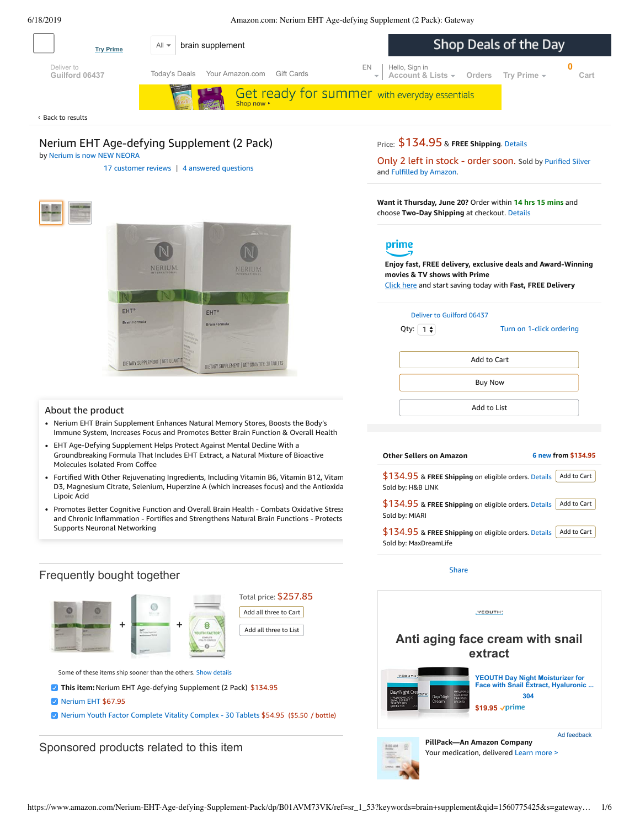<span id="page-0-0"></span>

# Frequently bought together



Nerium Youth Factor [Complete](https://www.amazon.com/Nerium-Factor-Complete-Vitality-Complex/dp/B0751338D4/ref=pd_bxgy_121_3/143-6729050-3493109?_encoding=UTF8&pd_rd_i=B0751338D4&pd_rd_r=701426e3-91ce-11e9-ac5b-5f8a14e8f1ee&pd_rd_w=NauD6&pd_rd_wg=qKx6u&pf_rd_p=a2006322-0bc0-4db9-a08e-d168c18ce6f0&pf_rd_r=FE312PP346E3HVD31ZQ9&psc=1&refRID=FE312PP346E3HVD31ZQ9) Vitality Complex - 30 Tablets \$54.95 (\$5.50 / bottle)

Sponsored products related to this item

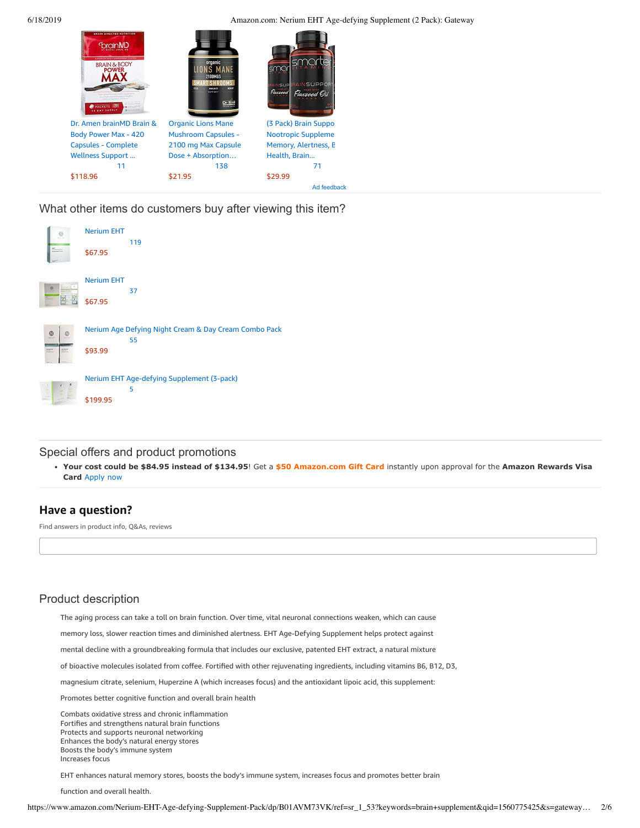6/18/2019 Amazon.com: Nerium EHT Age-defying Supplement (2 Pack): Gateway



What other items do customers buy after viewing this item?



Special offers and product promotions

**[Your cost could be \\$84.95 instead of \\$134.95](https://www.amazon.com/gp/cobrandcard/marketing.html?pr=con321&inc=50gcUnrec&ts=5d6j5ghcqs36bpvhiyc1fcbx3eaya3x&dasin=B01AVM73VK&plattr=math&place=detailpage&imp=50718839-0dc6-481b-8c7a-4060bb18bd03)**! Get a **\$50 Amazon.com Gift Card** instantly upon approval for the **Amazon Rewards Visa Card** Apply now

# **Have a question?**

Find answers in product info, Q&As, reviews

# Product description

The aging process can take a toll on brain function. Over time, vital neuronal connections weaken, which can cause

memory loss, slower reaction times and diminished alertness. EHT Age-Defying Supplement helps protect against

mental decline with a groundbreaking formula that includes our exclusive, patented EHT extract, a natural mixture

of bioactive molecules isolated from coffee. Fortified with other rejuvenating ingredients, including vitamins B6, B12, D3,

magnesium citrate, selenium, Huperzine A (which increases focus) and the antioxidant lipoic acid, this supplement:

Promotes better cognitive function and overall brain health

Combats oxidative stress and chronic inflammation Fortifies and strengthens natural brain functions Protects and supports neuronal networking Enhances the body's natural energy stores Boosts the body's immune system Increases focus

EHT enhances natural memory stores, boosts the body's immune system, increases focus and promotes better brain

function and overall health.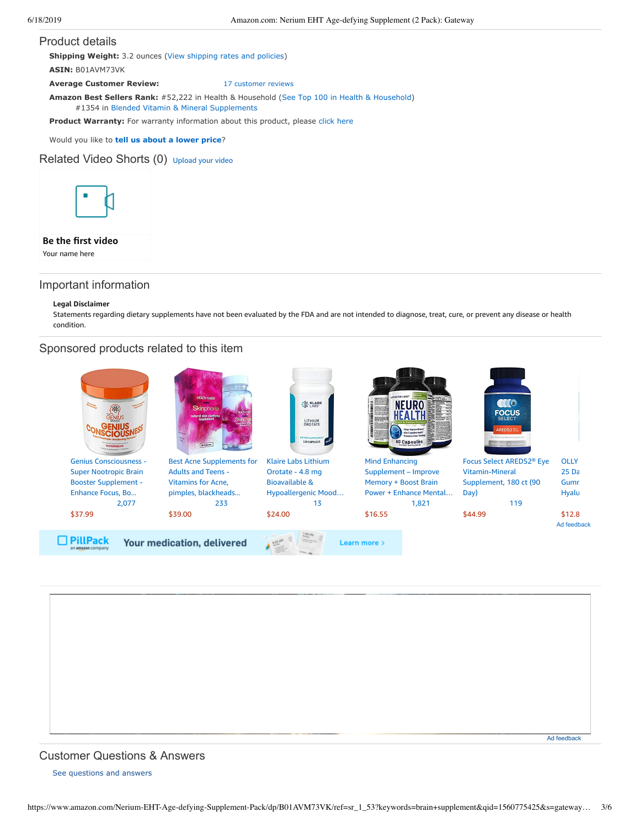### Product details

**Shipping Weight:** 3.2 ounces [\(View shipping rates and policies\)](https://www.amazon.com/gp/help/seller/shipping.html/ref=dp_pd_shipping?ie=UTF8&asin=B01AVM73VK&seller=ATVPDKIKX0DER) **ASIN:** B01AVM73VK

**Average Customer Review:** [17 customer reviews](https://www.amazon.com/product-reviews/B01AVM73VK/ref=acr_dpproductdetail_text?ie=UTF8&showViewpoints=1)

**Amazon Best Sellers Rank:** #52,222 in Health & Household ([See Top 100 in Health & Household\)](https://www.amazon.com/gp/bestsellers/hpc/ref=pd_zg_ts_hpc)

#1354 in [Blended Vitamin & Mineral Supplements](https://www.amazon.com/gp/bestsellers/hpc/3773931/ref=pd_zg_hrsr_hpc)

**Product Warranty:** For warranty information about this product, please [click here](https://www.amazon.com/gp/feature.html/ref=dp_warranty_request_3P?ie=UTF8&docId=1002406021)

Would you like to **tell us about a lower price**?

## Related Video Shorts (0) [Upload](https://www.amazon.com/creatorhub/video/upload?productASIN=B01AVM73VK&referringURL=ZHAvQjAxQVZNNzNWSw%3D%3D&ref=RVSW) your video



## **Be the first video**

Your name here

## Important information

### **Legal Disclaimer**

Statements regarding dietary supplements have not been evaluated by the FDA and are not intended to diagnose, treat, cure, or prevent any disease or health condition.

## Sponsored products related to this item



# <span id="page-2-0"></span>Customer Questions & Answers

[See questions and answers](https://www.amazon.com/ask/questions/asin/B01AVM73VK/ref=cm_cd_dp_lla_ql_ll)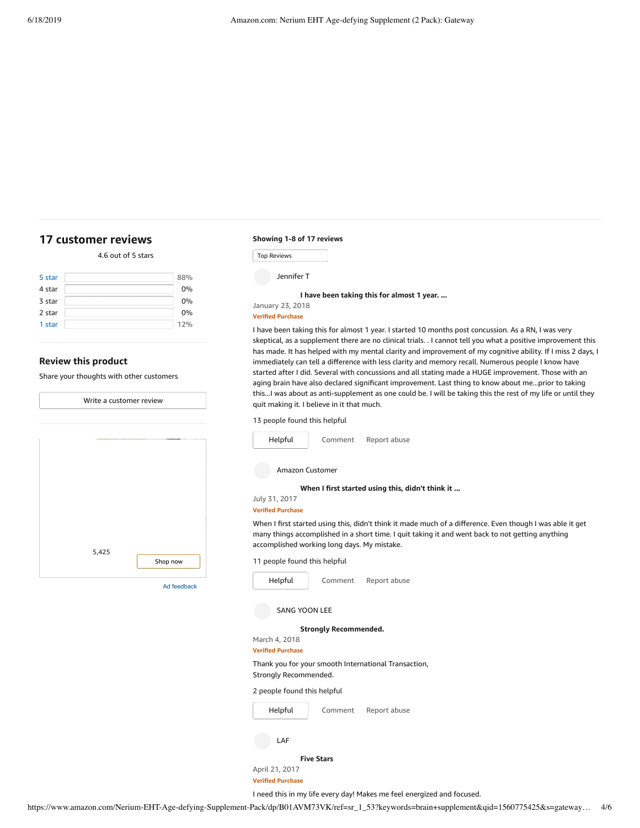## <span id="page-3-0"></span>**[17 customer](https://www.amazon.com/Nerium-EHT-Age-defying-Supplement-Pack/product-reviews/B01AVM73VK/ref=cm_cr_dp_d_show_all_top?ie=UTF8&reviewerType=all_reviews) reviews**

## 4.6 out of 5 [stars](javascript:void(0))

| 5 star | 88% |
|--------|-----|
| 4 star | 0%  |
| 3 star | 0%  |
| 2 star | 0%  |
| 1 star | 12% |

## **Review this product**

Share your thoughts with other customers

| Write a customer review |             |  |
|-------------------------|-------------|--|
|                         |             |  |
|                         |             |  |
|                         |             |  |
|                         |             |  |
|                         |             |  |
|                         |             |  |
|                         |             |  |
|                         |             |  |
|                         |             |  |
|                         |             |  |
| 5,425                   | Shop now    |  |
|                         |             |  |
|                         | Ad feedback |  |
|                         |             |  |
|                         |             |  |
|                         |             |  |

### **Showing 1-8 of 17 reviews**

Top Reviews Top Reviews

Jennifer T

**I have been taking this for [almost](https://www.amazon.com/gp/customer-reviews/R2YY5LFVRHGFZA/ref=cm_cr_dp_d_rvw_ttl?ie=UTF8&ASIN=B01AVM73VK) 1 year. ...**

# January 23, 2018

**Verified Purchase**

I have been taking this for almost 1 year. I started 10 months post concussion. As a RN, I was very skeptical, as a supplement there are no clinical trials. . I cannot tell you what a positive improvement this has made. It has helped with my mental clarity and improvement of my cognitive ability. If I miss 2 days, I immediately can tell a difference with less clarity and memory recall. Numerous people I know have started after I did. Several with concussions and all stating made a HUGE improvement. Those with an aging brain have also declared significant improvement. Last thing to know about me...prior to taking this...I was about as anti-supplement as one could be. I will be taking this the rest of my life or until they quit making it. I believe in it that much.

#### 13 people found this helpful

| Helpful                                           | Comment           | Report abuse                                                                                                                                                                                                  |  |  |
|---------------------------------------------------|-------------------|---------------------------------------------------------------------------------------------------------------------------------------------------------------------------------------------------------------|--|--|
| <b>Amazon Customer</b>                            |                   |                                                                                                                                                                                                               |  |  |
|                                                   |                   | When I first started using this, didn't think it                                                                                                                                                              |  |  |
| July 31, 2017                                     |                   |                                                                                                                                                                                                               |  |  |
| <b>Verified Purchase</b>                          |                   |                                                                                                                                                                                                               |  |  |
| accomplished working long days. My mistake.       |                   | When I first started using this, didn't think it made much of a difference. Even though I was able it get<br>many things accomplished in a short time. I quit taking it and went back to not getting anything |  |  |
| 11 people found this helpful                      |                   |                                                                                                                                                                                                               |  |  |
| Helpful                                           | Comment           | Report abuse                                                                                                                                                                                                  |  |  |
| <b>SANG YOON LEE</b>                              |                   |                                                                                                                                                                                                               |  |  |
| <b>Strongly Recommended.</b>                      |                   |                                                                                                                                                                                                               |  |  |
| March 4, 2018                                     |                   |                                                                                                                                                                                                               |  |  |
| <b>Verified Purchase</b><br>Strongly Recommended. |                   | Thank you for your smooth International Transaction,                                                                                                                                                          |  |  |
| 2 people found this helpful                       |                   |                                                                                                                                                                                                               |  |  |
| Helpful                                           | Comment           | Report abuse                                                                                                                                                                                                  |  |  |
| LAF                                               |                   |                                                                                                                                                                                                               |  |  |
|                                                   | <b>Five Stars</b> |                                                                                                                                                                                                               |  |  |

April 21, 2017 **Verified Purchase**

### I need this in my life every day! Makes me feel energized and focused.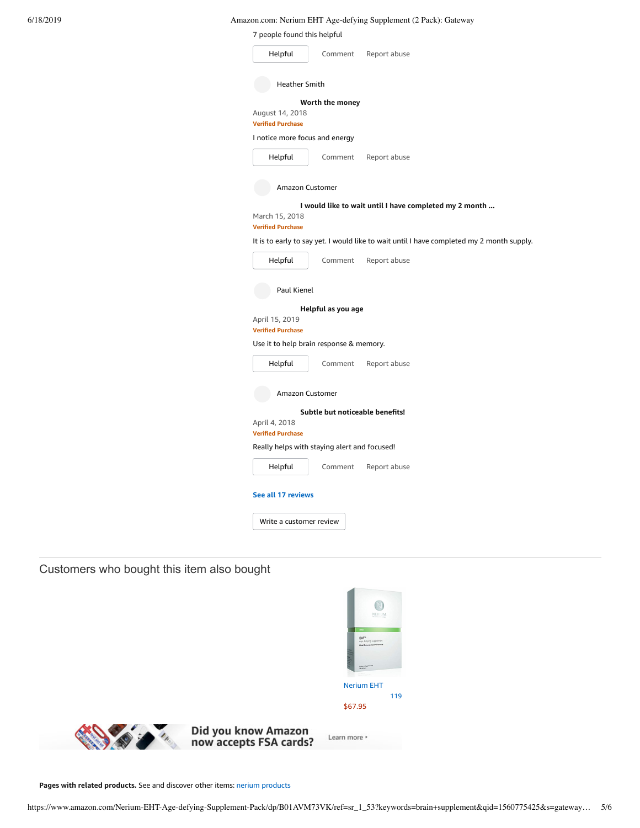6/18/2019 Amazon.com: Nerium EHT Age-defying Supplement (2 Pack): Gateway

| 7 people found this helpful                  |                                 |                                                                                           |
|----------------------------------------------|---------------------------------|-------------------------------------------------------------------------------------------|
| Helpful                                      | Comment                         | Report abuse                                                                              |
| <b>Heather Smith</b>                         |                                 |                                                                                           |
| August 14, 2018<br><b>Verified Purchase</b>  | Worth the money                 |                                                                                           |
| I notice more focus and energy               |                                 |                                                                                           |
| Helpful                                      | Comment                         | Report abuse                                                                              |
| Amazon Customer                              |                                 |                                                                                           |
| March 15, 2018<br><b>Verified Purchase</b>   |                                 | I would like to wait until I have completed my 2 month                                    |
|                                              |                                 | It is to early to say yet. I would like to wait until I have completed my 2 month supply. |
| Helpful                                      | Comment                         | Report abuse                                                                              |
| Paul Kienel                                  | Helpful as you age              |                                                                                           |
| April 15, 2019<br><b>Verified Purchase</b>   |                                 |                                                                                           |
| Use it to help brain response & memory.      |                                 |                                                                                           |
| Helpful                                      | Comment                         | Report abuse                                                                              |
| Amazon Customer                              |                                 |                                                                                           |
| April 4, 2018<br><b>Verified Purchase</b>    | Subtle but noticeable benefits! |                                                                                           |
| Really helps with staying alert and focused! |                                 |                                                                                           |
| Helpful                                      | Comment                         | Report abuse                                                                              |
| See all 17 reviews                           |                                 |                                                                                           |
|                                              |                                 |                                                                                           |

# Customers who bought this item also bought



**Pages with related products.** See and discover other items: nerium [products](https://www.amazon.com/slp/nerium-products/za5xsxa9sw8d8fq?_encoding=UTF8&ref_=fs_blw_d_clp_1)